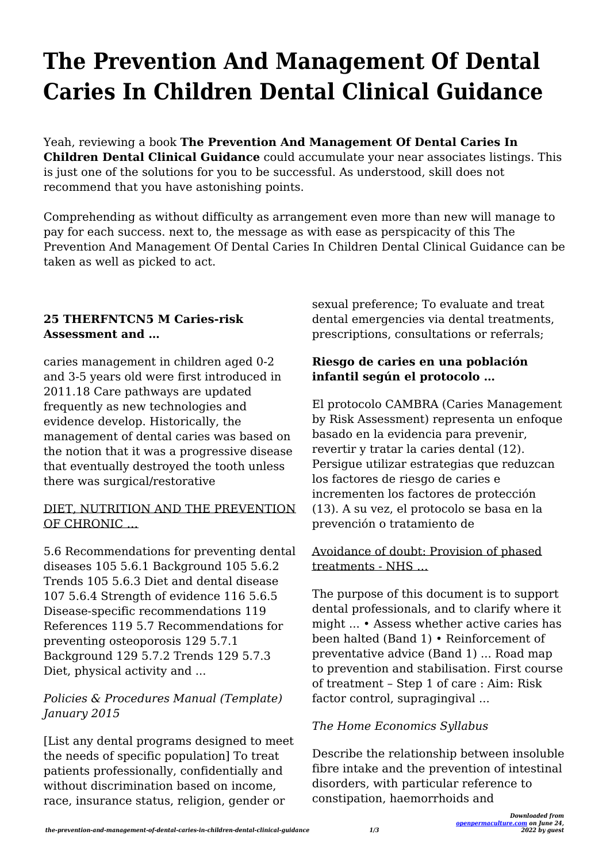# **The Prevention And Management Of Dental Caries In Children Dental Clinical Guidance**

Yeah, reviewing a book **The Prevention And Management Of Dental Caries In Children Dental Clinical Guidance** could accumulate your near associates listings. This is just one of the solutions for you to be successful. As understood, skill does not recommend that you have astonishing points.

Comprehending as without difficulty as arrangement even more than new will manage to pay for each success. next to, the message as with ease as perspicacity of this The Prevention And Management Of Dental Caries In Children Dental Clinical Guidance can be taken as well as picked to act.

# **25 THERFNTCN5 M Caries-risk Assessment and …**

caries management in children aged 0-2 and 3-5 years old were first introduced in 2011.18 Care pathways are updated frequently as new technologies and evidence develop. Historically, the management of dental caries was based on the notion that it was a progressive disease that eventually destroyed the tooth unless there was surgical/restorative

#### DIET, NUTRITION AND THE PREVENTION OF CHRONIC …

5.6 Recommendations for preventing dental diseases 105 5.6.1 Background 105 5.6.2 Trends 105 5.6.3 Diet and dental disease 107 5.6.4 Strength of evidence 116 5.6.5 Disease-specific recommendations 119 References 119 5.7 Recommendations for preventing osteoporosis 129 5.7.1 Background 129 5.7.2 Trends 129 5.7.3 Diet, physical activity and ...

# *Policies & Procedures Manual (Template) January 2015*

[List any dental programs designed to meet the needs of specific population] To treat patients professionally, confidentially and without discrimination based on income, race, insurance status, religion, gender or

sexual preference; To evaluate and treat dental emergencies via dental treatments, prescriptions, consultations or referrals;

## **Riesgo de caries en una población infantil según el protocolo …**

El protocolo CAMBRA (Caries Management by Risk Assessment) representa un enfoque basado en la evidencia para prevenir, revertir y tratar la caries dental (12). Persigue utilizar estrategias que reduzcan los factores de riesgo de caries e incrementen los factores de protección (13). A su vez, el protocolo se basa en la prevención o tratamiento de

#### Avoidance of doubt: Provision of phased treatments - NHS …

The purpose of this document is to support dental professionals, and to clarify where it might ... • Assess whether active caries has been halted (Band 1) • Reinforcement of preventative advice (Band 1) ... Road map to prevention and stabilisation. First course of treatment – Step 1 of care : Aim: Risk factor control, supragingival ...

# *The Home Economics Syllabus*

Describe the relationship between insoluble fibre intake and the prevention of intestinal disorders, with particular reference to constipation, haemorrhoids and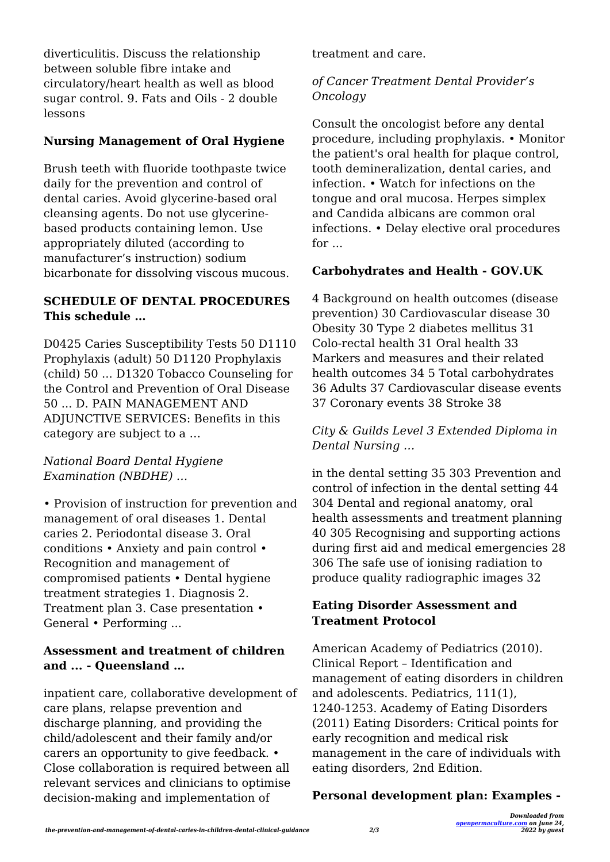diverticulitis. Discuss the relationship between soluble fibre intake and circulatory/heart health as well as blood sugar control. 9. Fats and Oils - 2 double lessons

#### **Nursing Management of Oral Hygiene**

Brush teeth with fluoride toothpaste twice daily for the prevention and control of dental caries. Avoid glycerine-based oral cleansing agents. Do not use glycerinebased products containing lemon. Use appropriately diluted (according to manufacturer's instruction) sodium bicarbonate for dissolving viscous mucous.

#### **SCHEDULE OF DENTAL PROCEDURES This schedule …**

D0425 Caries Susceptibility Tests 50 D1110 Prophylaxis (adult) 50 D1120 Prophylaxis (child) 50 ... D1320 Tobacco Counseling for the Control and Prevention of Oral Disease 50 ... D. PAIN MANAGEMENT AND ADJUNCTIVE SERVICES: Benefits in this category are subject to a …

*National Board Dental Hygiene Examination (NBDHE) …*

• Provision of instruction for prevention and management of oral diseases 1. Dental caries 2. Periodontal disease 3. Oral conditions • Anxiety and pain control • Recognition and management of compromised patients • Dental hygiene treatment strategies 1. Diagnosis 2. Treatment plan 3. Case presentation • General • Performing ...

#### **Assessment and treatment of children and ... - Queensland …**

inpatient care, collaborative development of care plans, relapse prevention and discharge planning, and providing the child/adolescent and their family and/or carers an opportunity to give feedback. • Close collaboration is required between all relevant services and clinicians to optimise decision-making and implementation of

treatment and care.

### *of Cancer Treatment Dental Provider's Oncology*

Consult the oncologist before any dental procedure, including prophylaxis. • Monitor the patient's oral health for plaque control, tooth demineralization, dental caries, and infection. • Watch for infections on the tongue and oral mucosa. Herpes simplex and Candida albicans are common oral infections. • Delay elective oral procedures for ...

## **Carbohydrates and Health - GOV.UK**

4 Background on health outcomes (disease prevention) 30 Cardiovascular disease 30 Obesity 30 Type 2 diabetes mellitus 31 Colo-rectal health 31 Oral health 33 Markers and measures and their related health outcomes 34 5 Total carbohydrates 36 Adults 37 Cardiovascular disease events 37 Coronary events 38 Stroke 38

*City & Guilds Level 3 Extended Diploma in Dental Nursing …*

in the dental setting 35 303 Prevention and control of infection in the dental setting 44 304 Dental and regional anatomy, oral health assessments and treatment planning 40 305 Recognising and supporting actions during first aid and medical emergencies 28 306 The safe use of ionising radiation to produce quality radiographic images 32

#### **Eating Disorder Assessment and Treatment Protocol**

American Academy of Pediatrics (2010). Clinical Report – Identification and management of eating disorders in children and adolescents. Pediatrics, 111(1), 1240-1253. Academy of Eating Disorders (2011) Eating Disorders: Critical points for early recognition and medical risk management in the care of individuals with eating disorders, 2nd Edition.

# **Personal development plan: Examples -**